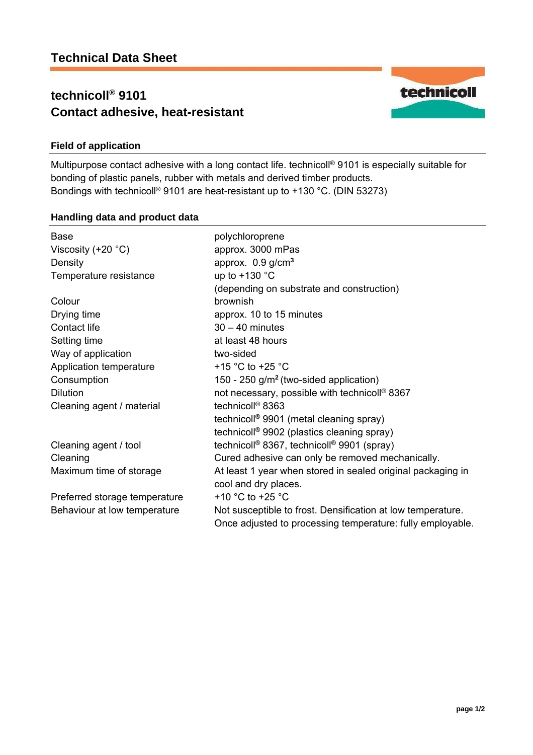# **technicoll® 9101 Contact adhesive, heat-resistant**



## **Field of application**

Multipurpose contact adhesive with a long contact life. technicoll<sup>®</sup> 9101 is especially suitable for bonding of plastic panels, rubber with metals and derived timber products. Bondings with technicoll® 9101 are heat-resistant up to +130 °C. (DIN 53273)

#### **Handling data and product data**

| <b>Base</b>                   | polychloroprene                                                    |
|-------------------------------|--------------------------------------------------------------------|
| Viscosity $(+20 °C)$          | approx. 3000 mPas                                                  |
| Density                       | approx. $0.9$ g/cm <sup>3</sup>                                    |
| Temperature resistance        | up to $+130$ °C                                                    |
|                               | (depending on substrate and construction)                          |
| Colour                        | brownish                                                           |
| Drying time                   | approx. 10 to 15 minutes                                           |
| Contact life                  | $30 - 40$ minutes                                                  |
| Setting time                  | at least 48 hours                                                  |
| Way of application            | two-sided                                                          |
| Application temperature       | +15 $^{\circ}$ C to +25 $^{\circ}$ C                               |
| Consumption                   | 150 - 250 $g/m2$ (two-sided application)                           |
| <b>Dilution</b>               | not necessary, possible with technicoll <sup>®</sup> 8367          |
| Cleaning agent / material     | technicoll <sup>®</sup> 8363                                       |
|                               | technicoll <sup>®</sup> 9901 (metal cleaning spray)                |
|                               | technicoll <sup>®</sup> 9902 (plastics cleaning spray)             |
| Cleaning agent / tool         | technicoll <sup>®</sup> 8367, technicoll <sup>®</sup> 9901 (spray) |
| Cleaning                      | Cured adhesive can only be removed mechanically.                   |
| Maximum time of storage       | At least 1 year when stored in sealed original packaging in        |
|                               | cool and dry places.                                               |
| Preferred storage temperature | +10 $^{\circ}$ C to +25 $^{\circ}$ C                               |
| Behaviour at low temperature  | Not susceptible to frost. Densification at low temperature.        |
|                               | Once adjusted to processing temperature: fully employable.         |